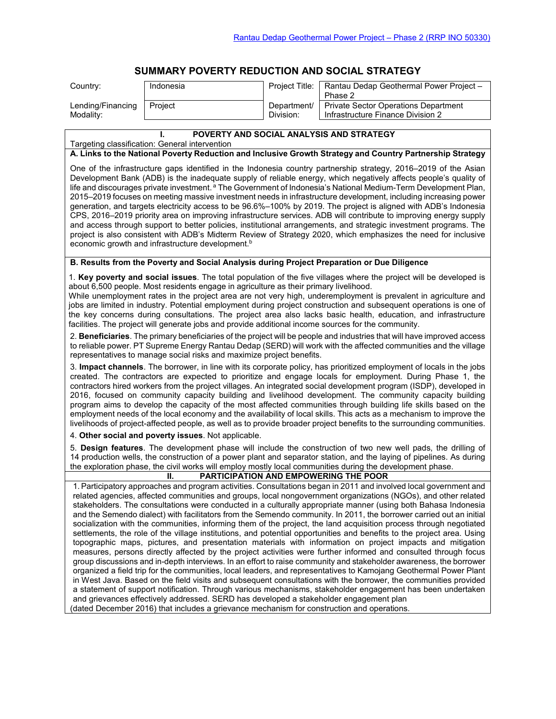# **SUMMARY POVERTY REDUCTION AND SOCIAL STRATEGY**

| Country:          | Indonesia | Project Title: | Rantau Dedap Geothermal Power Project -<br>Phase 2 |
|-------------------|-----------|----------------|----------------------------------------------------|
| Lending/Financing | Project   | Department/    | <b>Private Sector Operations Department</b>        |
| Modality:         |           | Division:      | Infrastructure Finance Division 2                  |

#### **I. POVERTY AND SOCIAL ANALYSIS AND STRATEGY**

Targeting classification: General intervention

#### **A. Links to the National Poverty Reduction and Inclusive Growth Strategy and Country Partnership Strategy**

One of the infrastructure gaps identified in the Indonesia country partnership strategy, 2016–2019 of the Asian Development Bank (ADB) is the inadequate supply of reliable energy, which negatively affects people's quality of life and discourages private investment.<sup>a</sup> The Government of Indonesia's National Medium-Term Development Plan, 2015–2019 focuses on meeting massive investment needs in infrastructure development, including increasing power generation, and targets electricity access to be 96.6%–100% by 2019. The project is aligned with ADB's Indonesia CPS, 2016–2019 priority area on improving infrastructure services. ADB will contribute to improving energy supply and access through support to better policies, institutional arrangements, and strategic investment programs. The project is also consistent with ADB's Midterm Review of Strategy 2020, which emphasizes the need for inclusive economic growth and infrastructure development.<sup>b</sup>

### **B. Results from the Poverty and Social Analysis during Project Preparation or Due Diligence**

1. **Key poverty and social issues**. The total population of the five villages where the project will be developed is about 6,500 people. Most residents engage in agriculture as their primary livelihood.

While unemployment rates in the project area are not very high, underemployment is prevalent in agriculture and jobs are limited in industry. Potential employment during project construction and subsequent operations is one of the key concerns during consultations. The project area also lacks basic health, education, and infrastructure facilities. The project will generate jobs and provide additional income sources for the community.

2. **Beneficiaries**. The primary beneficiaries of the project will be people and industries that will have improved access to reliable power. PT Supreme Energy Rantau Dedap (SERD) will work with the affected communities and the village representatives to manage social risks and maximize project benefits.

3. **Impact channels**. The borrower, in line with its corporate policy, has prioritized employment of locals in the jobs created. The contractors are expected to prioritize and engage locals for employment. During Phase 1, the contractors hired workers from the project villages. An integrated social development program (ISDP), developed in 2016, focused on community capacity building and livelihood development. The community capacity building program aims to develop the capacity of the most affected communities through building life skills based on the employment needs of the local economy and the availability of local skills. This acts as a mechanism to improve the livelihoods of project-affected people, as well as to provide broader project benefits to the surrounding communities.

4. **Other social and poverty issues**. Not applicable.

5. **Design features**. The development phase will include the construction of two new well pads, the drilling of 14 production wells, the construction of a power plant and separator station, and the laying of pipelines. As during the exploration phase, the civil works will employ mostly local communities during the development phase.

## **II. PARTICIPATION AND EMPOWERING THE POOR**

1. Participatory approaches and program activities. Consultations began in 2011 and involved local government and related agencies, affected communities and groups, local nongovernment organizations (NGOs), and other related stakeholders. The consultations were conducted in a culturally appropriate manner (using both Bahasa Indonesia and the Semendo dialect) with facilitators from the Semendo community. In 2011, the borrower carried out an initial socialization with the communities, informing them of the project, the land acquisition process through negotiated settlements, the role of the village institutions, and potential opportunities and benefits to the project area. Using topographic maps, pictures, and presentation materials with information on project impacts and mitigation measures, persons directly affected by the project activities were further informed and consulted through focus group discussions and in-depth interviews. In an effort to raise community and stakeholder awareness, the borrower organized a field trip for the communities, local leaders, and representatives to Kamojang Geothermal Power Plant in West Java. Based on the field visits and subsequent consultations with the borrower, the communities provided a statement of support notification. Through various mechanisms, stakeholder engagement has been undertaken and grievances effectively addressed. SERD has developed a stakeholder engagement plan (dated December 2016) that includes a grievance mechanism for construction and operations.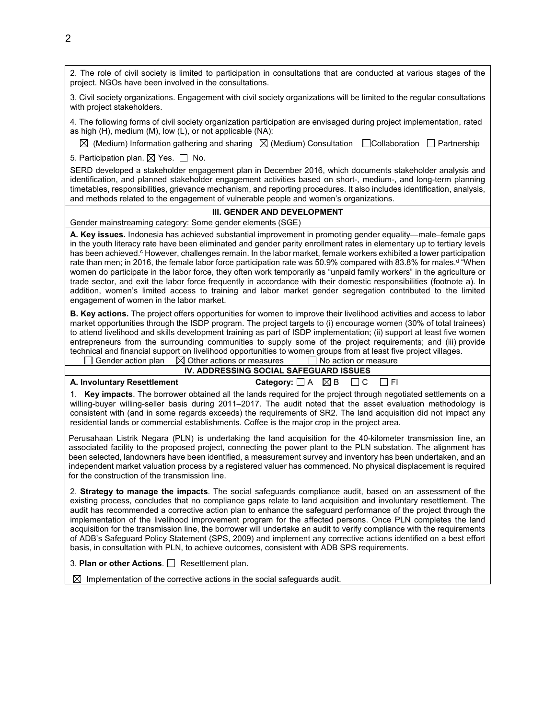2. The role of civil society is limited to participation in consultations that are conducted at various stages of the project. NGOs have been involved in the consultations.

3. Civil society organizations. Engagement with civil society organizations will be limited to the regular consultations with project stakeholders.

4. The following forms of civil society organization participation are envisaged during project implementation, rated as high (H), medium (M), low (L), or not applicable (NA):

 $\boxtimes$  (Medium) Information gathering and sharing  $\boxtimes$  (Medium) Consultation  $\Box$  Collaboration  $\Box$  Partnership

5. Participation plan.  $\boxtimes$  Yes.  $\Box$  No.

SERD developed a stakeholder engagement plan in December 2016, which documents stakeholder analysis and identification, and planned stakeholder engagement activities based on short-, medium-, and long-term planning timetables, responsibilities, grievance mechanism, and reporting procedures. It also includes identification, analysis, and methods related to the engagement of vulnerable people and women's organizations.

### **III. GENDER AND DEVELOPMENT**

Gender mainstreaming category: Some gender elements (SGE)

**A. Key issues.** Indonesia has achieved substantial improvement in promoting gender equality—male–female gaps in the youth literacy rate have been eliminated and gender parity enrollment rates in elementary up to tertiary levels has been achieved.<sup>c</sup> However, challenges remain. In the labor market, female workers exhibited a lower participation rate than men; in 2016, the female labor force participation rate was 50.9% compared with 83.8% for males.<sup>d</sup> "When women do participate in the labor force, they often work temporarily as "unpaid family workers" in the agriculture or trade sector, and exit the labor force frequently in accordance with their domestic responsibilities (footnote a). In addition, women's limited access to training and labor market gender segregation contributed to the limited engagement of women in the labor market.

**B. Key actions.** The project offers opportunities for women to improve their livelihood activities and access to labor market opportunities through the ISDP program. The project targets to (i) encourage women (30% of total trainees) to attend livelihood and skills development training as part of ISDP implementation; (ii) support at least five women entrepreneurs from the surrounding communities to supply some of the project requirements; and (iii) provide technical and financial support on livelihood opportunities to women groups from at least five project villages.<br>
<br> **O** Gender action plan  $\boxtimes$  Other actions or measures  $\Box$  No action or measure  $\Box$  Gender action plan  $\Box$  Other actions or measures

## **IV. ADDRESSING SOCIAL SAFEGUARD ISSUES**

**A. Involuntary Resettlement Category:**  $\Box$  A  $\boxtimes$  B  $\Box$  C  $\Box$  FI

1. **Key impacts**. The borrower obtained all the lands required for the project through negotiated settlements on a willing-buyer willing-seller basis during 2011–2017. The audit noted that the asset evaluation methodology is consistent with (and in some regards exceeds) the requirements of SR2. The land acquisition did not impact any residential lands or commercial establishments. Coffee is the major crop in the project area.

Perusahaan Listrik Negara (PLN) is undertaking the land acquisition for the 40-kilometer transmission line, an associated facility to the proposed project, connecting the power plant to the PLN substation. The alignment has been selected, landowners have been identified, a measurement survey and inventory has been undertaken, and an independent market valuation process by a registered valuer has commenced. No physical displacement is required for the construction of the transmission line.

2. **Strategy to manage the impacts**. The social safeguards compliance audit, based on an assessment of the existing process, concludes that no compliance gaps relate to land acquisition and involuntary resettlement. The audit has recommended a corrective action plan to enhance the safeguard performance of the project through the implementation of the livelihood improvement program for the affected persons. Once PLN completes the land acquisition for the transmission line, the borrower will undertake an audit to verify compliance with the requirements of ADB's Safeguard Policy Statement (SPS, 2009) and implement any corrective actions identified on a best effort basis, in consultation with PLN, to achieve outcomes, consistent with ADB SPS requirements.

3. **Plan or other Actions**. **Resettlement plan.** 

 $\boxtimes$  Implementation of the corrective actions in the social safeguards audit.